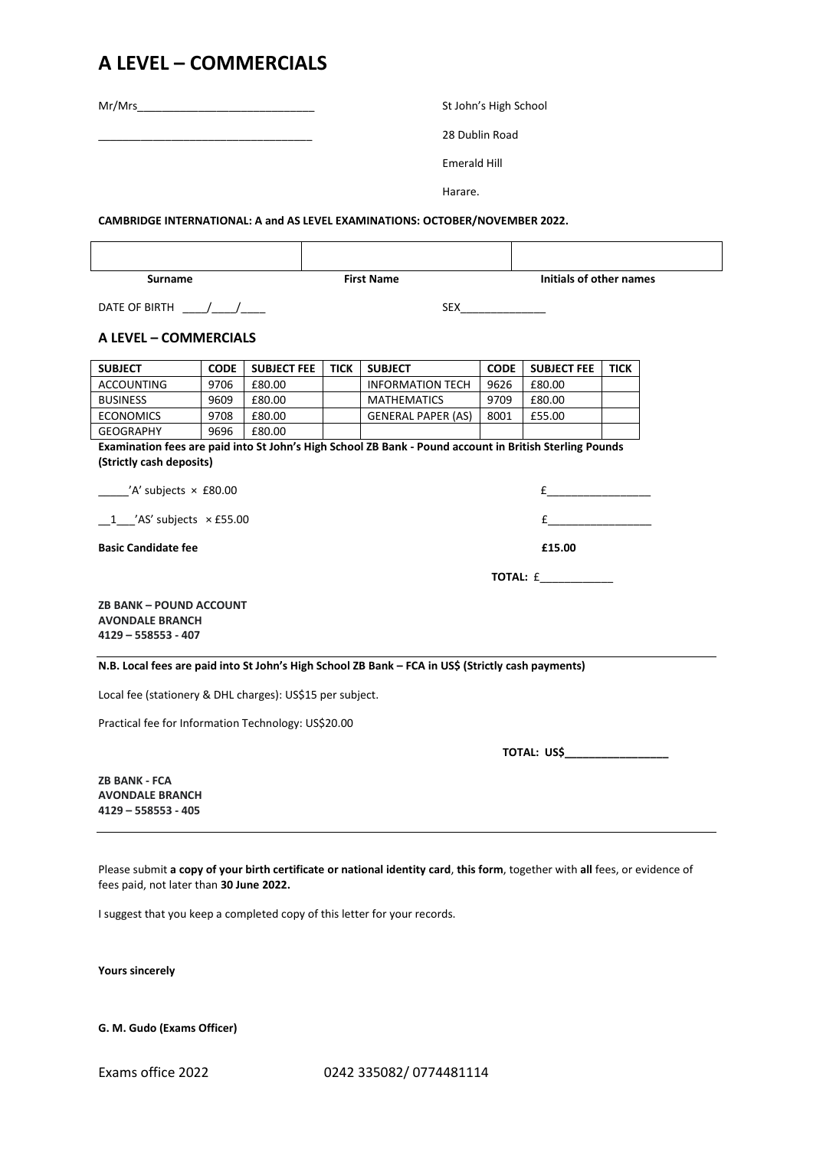## **A LEVEL – COMMERCIALS**

|                                                                                                                                                                                   |             |                    | St John's High School |                           |             |                         |             |  |
|-----------------------------------------------------------------------------------------------------------------------------------------------------------------------------------|-------------|--------------------|-----------------------|---------------------------|-------------|-------------------------|-------------|--|
|                                                                                                                                                                                   |             |                    | 28 Dublin Road        |                           |             |                         |             |  |
|                                                                                                                                                                                   |             |                    | Emerald Hill          |                           |             |                         |             |  |
|                                                                                                                                                                                   |             |                    |                       |                           |             |                         |             |  |
|                                                                                                                                                                                   |             |                    | Harare.               |                           |             |                         |             |  |
| CAMBRIDGE INTERNATIONAL: A and AS LEVEL EXAMINATIONS: OCTOBER/NOVEMBER 2022.                                                                                                      |             |                    |                       |                           |             |                         |             |  |
|                                                                                                                                                                                   |             |                    |                       |                           |             |                         |             |  |
|                                                                                                                                                                                   |             |                    |                       |                           |             |                         |             |  |
| <b>Surname</b>                                                                                                                                                                    |             |                    | <b>First Name</b>     |                           |             | Initials of other names |             |  |
| DATE OF BIRTH $\frac{1}{\sqrt{1-\frac{1}{2}}}$                                                                                                                                    |             |                    |                       |                           |             |                         |             |  |
|                                                                                                                                                                                   |             |                    |                       |                           |             |                         |             |  |
| A LEVEL - COMMERCIALS                                                                                                                                                             |             |                    |                       |                           |             |                         |             |  |
| <b>SUBJECT</b>                                                                                                                                                                    | <b>CODE</b> | <b>SUBJECT FEE</b> | <b>TICK</b>           | <b>SUBJECT</b>            | <b>CODE</b> | <b>SUBJECT FEE</b>      | <b>TICK</b> |  |
| <b>ACCOUNTING</b>                                                                                                                                                                 | 9706        | £80.00             |                       | <b>INFORMATION TECH</b>   | 9626        | £80.00                  |             |  |
| <b>BUSINESS</b>                                                                                                                                                                   | 9609        | £80.00             |                       | <b>MATHEMATICS</b>        | 9709        | £80.00                  |             |  |
| <b>ECONOMICS</b>                                                                                                                                                                  | 9708        | £80.00             |                       | <b>GENERAL PAPER (AS)</b> | 8001        | £55.00                  |             |  |
| <b>GEOGRAPHY</b>                                                                                                                                                                  | 9696        | £80.00             |                       |                           |             |                         |             |  |
| Examination fees are paid into St John's High School ZB Bank - Pound account in British Sterling Pounds<br>(Strictly cash deposits)<br>$\frac{1}{2}$ /A' subjects $\times$ £80.00 |             |                    |                       |                           |             |                         |             |  |
|                                                                                                                                                                                   |             |                    |                       |                           |             |                         |             |  |
| $1$ $\prime$ AS' subjects $\times$ £55.00                                                                                                                                         |             |                    | $f$ and $f$           |                           |             |                         |             |  |
| <b>Basic Candidate fee</b>                                                                                                                                                        |             |                    | £15.00                |                           |             |                         |             |  |
|                                                                                                                                                                                   |             |                    | TOTAL: £____________  |                           |             |                         |             |  |
| <b>ZB BANK - POUND ACCOUNT</b><br><b>AVONDALE BRANCH</b><br>$4129 - 558553 - 407$                                                                                                 |             |                    |                       |                           |             |                         |             |  |
| N.B. Local fees are paid into St John's High School ZB Bank - FCA in US\$ (Strictly cash payments)                                                                                |             |                    |                       |                           |             |                         |             |  |
| Local fee (stationery & DHL charges): US\$15 per subject.                                                                                                                         |             |                    |                       |                           |             |                         |             |  |
| Practical fee for Information Technology: US\$20.00                                                                                                                               |             |                    |                       |                           |             |                         |             |  |
|                                                                                                                                                                                   |             |                    |                       |                           |             |                         |             |  |
| <b>ZB BANK - FCA</b><br><b>AVONDALE BRANCH</b><br>$4129 - 558553 - 405$                                                                                                           |             |                    |                       |                           |             |                         |             |  |
| Please submit a copy of your birth certificate or national identity card, this form, together with all fees, or evidence of<br>fees paid, not later than 30 June 2022.            |             |                    |                       |                           |             |                         |             |  |

I suggest that you keep a completed copy of this letter for your records.

**Yours sincerely**

**G. M. Gudo (Exams Officer)**